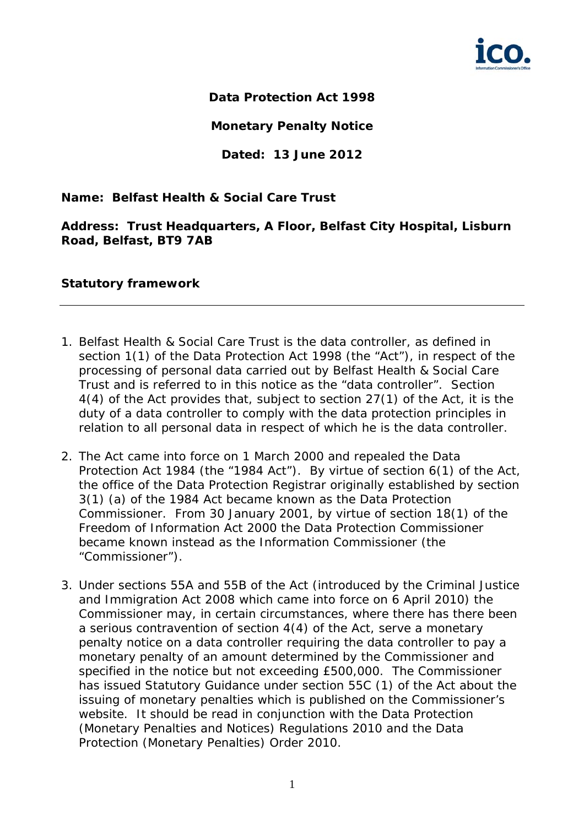

**Data Protection Act 1998** 

**Monetary Penalty Notice** 

**Dated: 13 June 2012** 

# **Name: Belfast Health & Social Care Trust**

**Address: Trust Headquarters, A Floor, Belfast City Hospital, Lisburn Road, Belfast, BT9 7AB** 

## **Statutory framework**

- 1. Belfast Health & Social Care Trust is the data controller, as defined in section 1(1) of the Data Protection Act 1998 (the "Act"), in respect of the processing of personal data carried out by Belfast Health & Social Care Trust and is referred to in this notice as the "data controller". Section 4(4) of the Act provides that, subject to section 27(1) of the Act, it is the duty of a data controller to comply with the data protection principles in relation to all personal data in respect of which he is the data controller.
- 2. The Act came into force on 1 March 2000 and repealed the Data Protection Act 1984 (the "1984 Act"). By virtue of section 6(1) of the Act, the office of the Data Protection Registrar originally established by section 3(1) (a) of the 1984 Act became known as the Data Protection Commissioner. From 30 January 2001, by virtue of section 18(1) of the Freedom of Information Act 2000 the Data Protection Commissioner became known instead as the Information Commissioner (the "Commissioner").
- 3. Under sections 55A and 55B of the Act (introduced by the Criminal Justice and Immigration Act 2008 which came into force on 6 April 2010) the Commissioner may, in certain circumstances, where there has there been a serious contravention of section 4(4) of the Act, serve a monetary penalty notice on a data controller requiring the data controller to pay a monetary penalty of an amount determined by the Commissioner and specified in the notice but not exceeding £500,000. The Commissioner has issued Statutory Guidance under section 55C (1) of the Act about the issuing of monetary penalties which is published on the Commissioner's website. It should be read in conjunction with the Data Protection (Monetary Penalties and Notices) Regulations 2010 and the Data Protection (Monetary Penalties) Order 2010.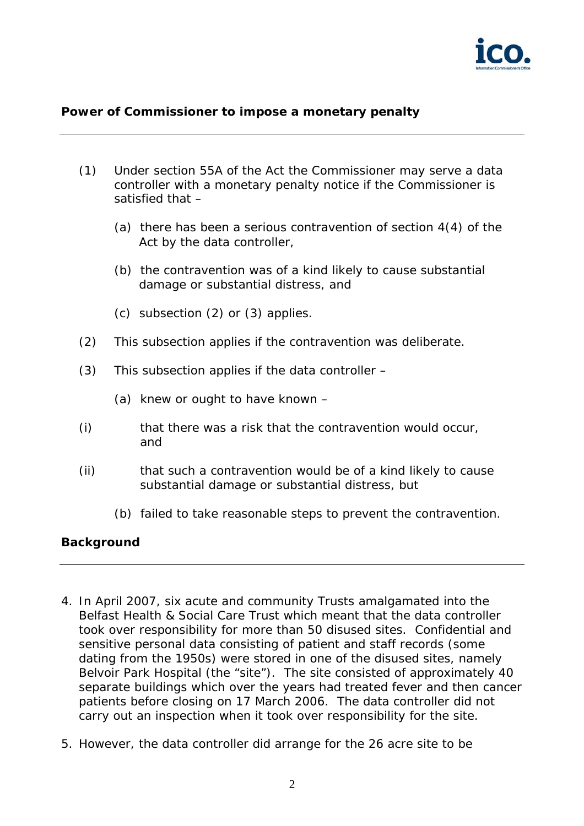

## **Power of Commissioner to impose a monetary penalty**

- (1) Under section 55A of the Act the Commissioner may serve a data controller with a monetary penalty notice if the Commissioner is satisfied that –
	- (a) there has been a serious contravention of section 4(4) of the Act by the data controller,
	- (b) the contravention was of a kind likely to cause substantial damage or substantial distress, and
	- (c) subsection (2) or (3) applies.
- (2) This subsection applies if the contravention was deliberate.
- (3) This subsection applies if the data controller
	- (a) knew or ought to have known –
- (i) that there was a risk that the contravention would occur, and
- (ii) that such a contravention would be of a kind likely to cause substantial damage or substantial distress, but
	- (b) failed to take reasonable steps to prevent the contravention.

#### **Background**

- 4. In April 2007, six acute and community Trusts amalgamated into the Belfast Health & Social Care Trust which meant that the data controller took over responsibility for more than 50 disused sites. Confidential and sensitive personal data consisting of patient and staff records (some dating from the 1950s) were stored in one of the disused sites, namely Belvoir Park Hospital (the "site"). The site consisted of approximately 40 separate buildings which over the years had treated fever and then cancer patients before closing on 17 March 2006. The data controller did not carry out an inspection when it took over responsibility for the site.
- 5. However, the data controller did arrange for the 26 acre site to be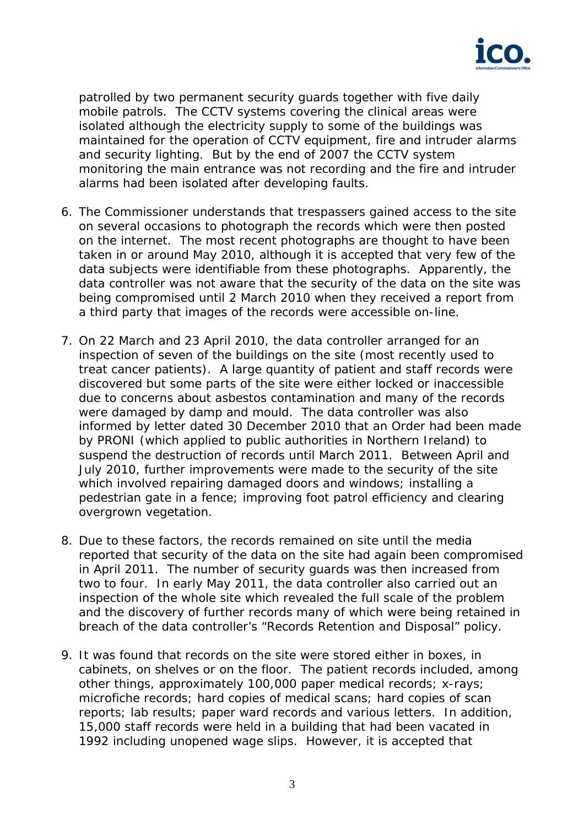

patrolled by two permanent security guards together with five daily mobile patrols. The CCTV systems covering the clinical areas were isolated although the electricity supply to some of the buildings was maintained for the operation of CCTV equipment, fire and intruder alarms and security lighting. But by the end of 2007 the CCTV system monitoring the main entrance was not recording and the fire and intruder alarms had been isolated after developing faults.

- 6. The Commissioner understands that trespassers gained access to the site on several occasions to photograph the records which were then posted on the internet. The most recent photographs are thought to have been taken in or around May 2010, although it is accepted that very few of the data subjects were identifiable from these photographs. Apparently, the data controller was not aware that the security of the data on the site was being compromised until 2 March 2010 when they received a report from a third party that images of the records were accessible on-line.
- 7. On 22 March and 23 April 2010, the data controller arranged for an inspection of seven of the buildings on the site (most recently used to treat cancer patients). A large quantity of patient and staff records were discovered but some parts of the site were either locked or inaccessible due to concerns about asbestos contamination and many of the records were damaged by damp and mould. The data controller was also informed by letter dated 30 December 2010 that an Order had been made by PRONI (which applied to public authorities in Northern Ireland) to suspend the destruction of records until March 2011. Between April and July 2010, further improvements were made to the security of the site which involved repairing damaged doors and windows; installing a pedestrian gate in a fence; improving foot patrol efficiency and clearing overgrown vegetation.
- 8. Due to these factors, the records remained on site until the media reported that security of the data on the site had again been compromised in April 2011. The number of security guards was then increased from two to four. In early May 2011, the data controller also carried out an inspection of the whole site which revealed the full scale of the problem and the discovery of further records many of which were being retained in breach of the data controller's "Records Retention and Disposal" policy.
- 9. It was found that records on the site were stored either in boxes, in cabinets, on shelves or on the floor. The patient records included, among other things, approximately 100,000 paper medical records; x-rays; microfiche records; hard copies of medical scans; hard copies of scan reports; lab results; paper ward records and various letters. In addition, 15,000 staff records were held in a building that had been vacated in 1992 including unopened wage slips. However, it is accepted that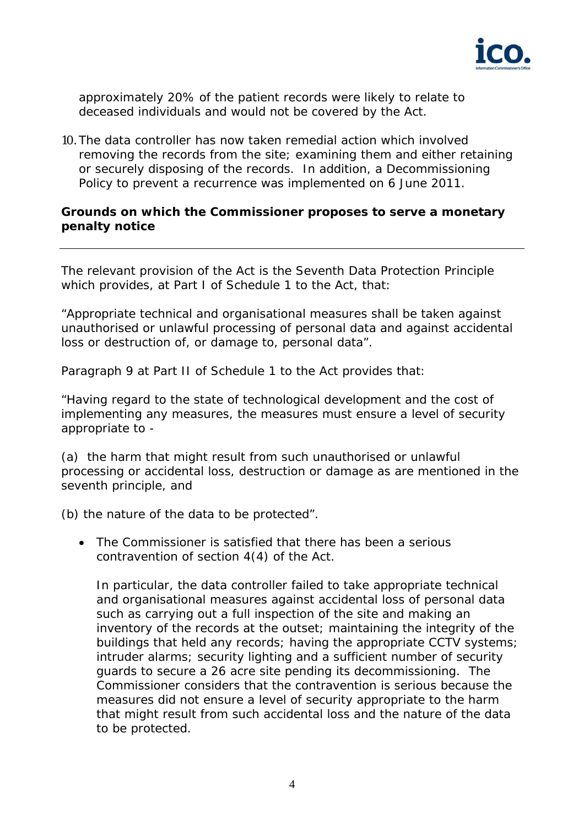

approximately 20% of the patient records were likely to relate to deceased individuals and would not be covered by the Act.

10. The data controller has now taken remedial action which involved removing the records from the site; examining them and either retaining or securely disposing of the records. In addition, a Decommissioning Policy to prevent a recurrence was implemented on 6 June 2011.

#### **Grounds on which the Commissioner proposes to serve a monetary penalty notice**

The relevant provision of the Act is the Seventh Data Protection Principle which provides, at Part I of Schedule 1 to the Act, that:

*"Appropriate technical and organisational measures shall be taken against unauthorised or unlawful processing of personal data and against accidental loss or destruction of, or damage to, personal data".* 

Paragraph 9 at Part II of Schedule 1 to the Act provides that:

*"Having regard to the state of technological development and the cost of implementing any measures, the measures must ensure a level of security appropriate to -* 

*(a) the harm that might result from such unauthorised or unlawful processing or accidental loss, destruction or damage as are mentioned in the seventh principle, and* 

*(b) the nature of the data to be protected".* 

 The Commissioner is satisfied that there has been a serious contravention of section 4(4) of the Act.

In particular, the data controller failed to take appropriate technical and organisational measures against accidental loss of personal data such as carrying out a full inspection of the site and making an inventory of the records at the outset; maintaining the integrity of the buildings that held any records; having the appropriate CCTV systems; intruder alarms; security lighting and a sufficient number of security guards to secure a 26 acre site pending its decommissioning. The Commissioner considers that the contravention is serious because the measures did not ensure a level of security appropriate to the harm that might result from such accidental loss and the nature of the data to be protected.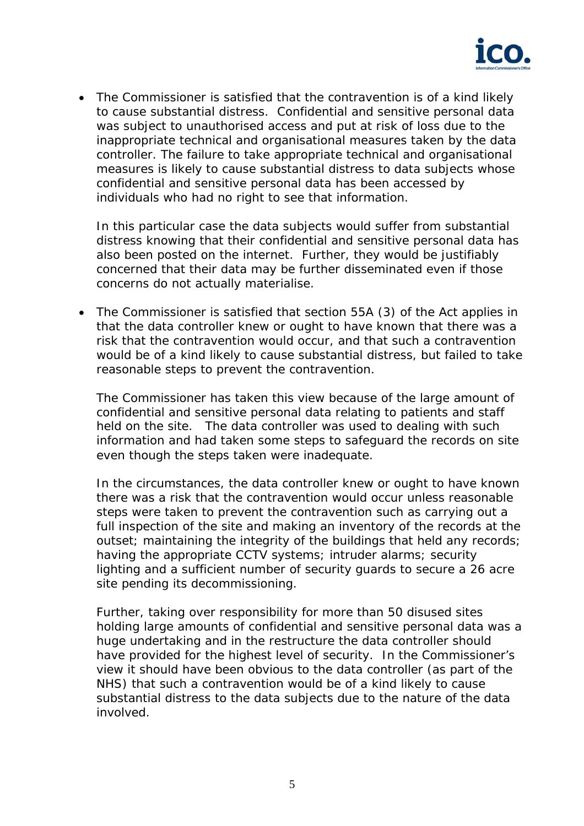

 The Commissioner is satisfied that the contravention is of a kind likely to cause substantial distress. Confidential and sensitive personal data was subject to unauthorised access and put at risk of loss due to the inappropriate technical and organisational measures taken by the data controller. The failure to take appropriate technical and organisational measures is likely to cause substantial distress to data subjects whose confidential and sensitive personal data has been accessed by individuals who had no right to see that information.

In this particular case the data subjects would suffer from substantial distress knowing that their confidential and sensitive personal data has also been posted on the internet. Further, they would be justifiably concerned that their data may be further disseminated even if those concerns do not actually materialise.

 The Commissioner is satisfied that section 55A (3) of the Act applies in that the data controller knew or ought to have known that there was a risk that the contravention would occur, and that such a contravention would be of a kind likely to cause substantial distress, but failed to take reasonable steps to prevent the contravention.

The Commissioner has taken this view because of the large amount of confidential and sensitive personal data relating to patients and staff held on the site. The data controller was used to dealing with such information and had taken some steps to safeguard the records on site even though the steps taken were inadequate.

In the circumstances, the data controller knew or ought to have known there was a risk that the contravention would occur unless reasonable steps were taken to prevent the contravention such as carrying out a full inspection of the site and making an inventory of the records at the outset; maintaining the integrity of the buildings that held any records; having the appropriate CCTV systems; intruder alarms; security lighting and a sufficient number of security guards to secure a 26 acre site pending its decommissioning.

Further, taking over responsibility for more than 50 disused sites holding large amounts of confidential and sensitive personal data was a huge undertaking and in the restructure the data controller should have provided for the highest level of security. In the Commissioner's view it should have been obvious to the data controller (as part of the NHS) that such a contravention would be of a kind likely to cause substantial distress to the data subjects due to the nature of the data involved.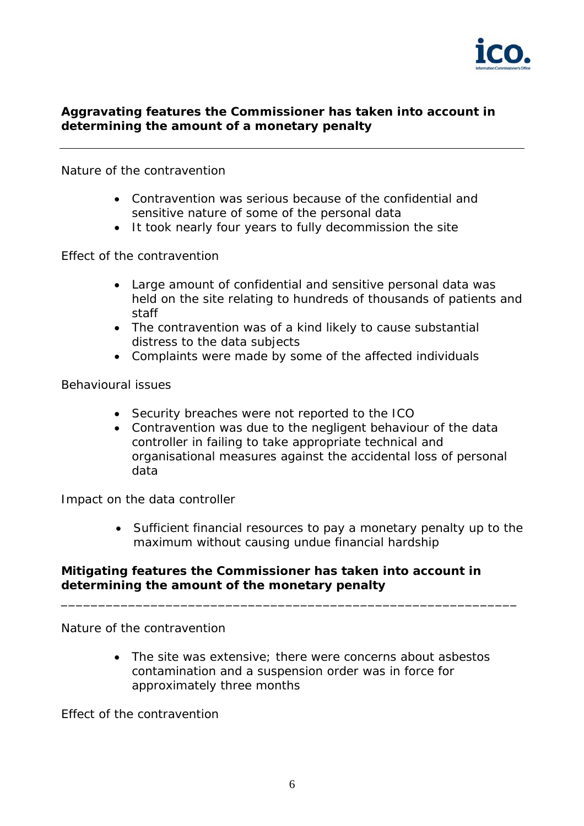

# **Aggravating features the Commissioner has taken into account in determining the amount of a monetary penalty**

## *Nature of the contravention*

- Contravention was serious because of the confidential and sensitive nature of some of the personal data
- It took nearly four years to fully decommission the site

## *Effect of the contravention*

- Large amount of confidential and sensitive personal data was held on the site relating to hundreds of thousands of patients and staff
- The contravention was of a kind likely to cause substantial distress to the data subjects
- Complaints were made by some of the affected individuals

## *Behavioural issues*

- Security breaches were not reported to the ICO
- Contravention was due to the negligent behaviour of the data controller in failing to take appropriate technical and organisational measures against the accidental loss of personal data

#### *Impact on the data controller*

 Sufficient financial resources to pay a monetary penalty up to the maximum without causing undue financial hardship

## **Mitigating features the Commissioner has taken into account in determining the amount of the monetary penalty**

*\_\_\_\_\_\_\_\_\_\_\_\_\_\_\_\_\_\_\_\_\_\_\_\_\_\_\_\_\_\_\_\_\_\_\_\_\_\_\_\_\_\_\_\_\_\_\_\_\_\_\_\_\_\_\_\_\_\_\_\_\_* 

*Nature of the contravention* 

• The site was extensive; there were concerns about asbestos contamination and a suspension order was in force for approximately three months

*Effect of the contravention*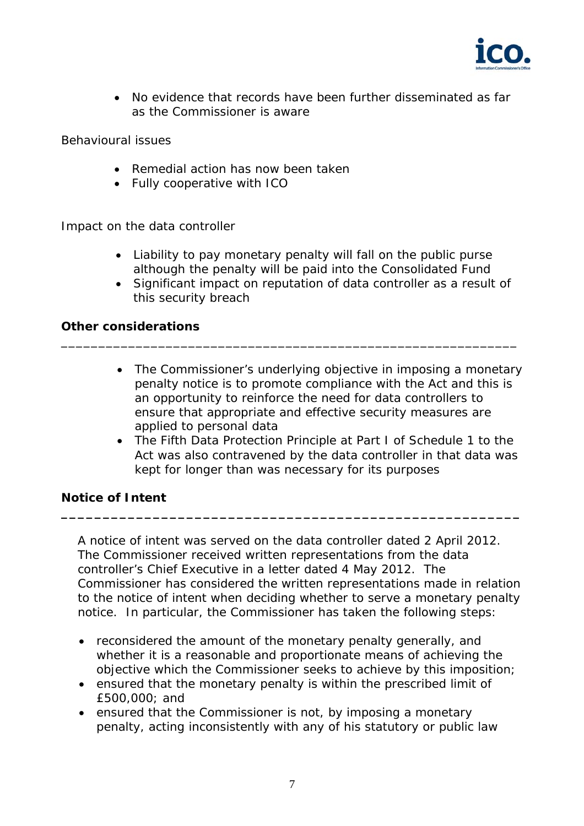

 No evidence that records have been further disseminated as far as the Commissioner is aware

# *Behavioural issues*

- Remedial action has now been taken
- Fully cooperative with ICO

## *Impact on the data controller*

 Liability to pay monetary penalty will fall on the public purse although the penalty will be paid into the Consolidated Fund

\_\_\_\_\_\_\_\_\_\_\_\_\_\_\_\_\_\_\_\_\_\_\_\_\_\_\_\_\_\_\_\_\_\_\_\_\_\_\_\_\_\_\_\_\_\_\_\_\_\_\_\_\_\_\_\_\_\_\_\_\_

 Significant impact on reputation of data controller as a result of this security breach

## **Other considerations**

- The Commissioner's underlying objective in imposing a monetary penalty notice is to promote compliance with the Act and this is an opportunity to reinforce the need for data controllers to ensure that appropriate and effective security measures are applied to personal data
- The Fifth Data Protection Principle at Part I of Schedule 1 to the Act was also contravened by the data controller in that data was kept for longer than was necessary for its purposes

# **Notice of Intent**

 A notice of intent was served on the data controller dated 2 April 2012. The Commissioner received written representations from the data controller's Chief Executive in a letter dated 4 May 2012. The Commissioner has considered the written representations made in relation to the notice of intent when deciding whether to serve a monetary penalty notice. In particular, the Commissioner has taken the following steps:

**\_\_\_\_\_\_\_\_\_\_\_\_\_\_\_\_\_\_\_\_\_\_\_\_\_\_\_\_\_\_\_\_\_\_\_\_\_\_\_\_\_\_\_\_\_\_\_\_\_\_\_\_\_\_\_** 

- reconsidered the amount of the monetary penalty generally, and whether it is a reasonable and proportionate means of achieving the objective which the Commissioner seeks to achieve by this imposition;
- ensured that the monetary penalty is within the prescribed limit of £500,000; and
- ensured that the Commissioner is not, by imposing a monetary penalty, acting inconsistently with any of his statutory or public law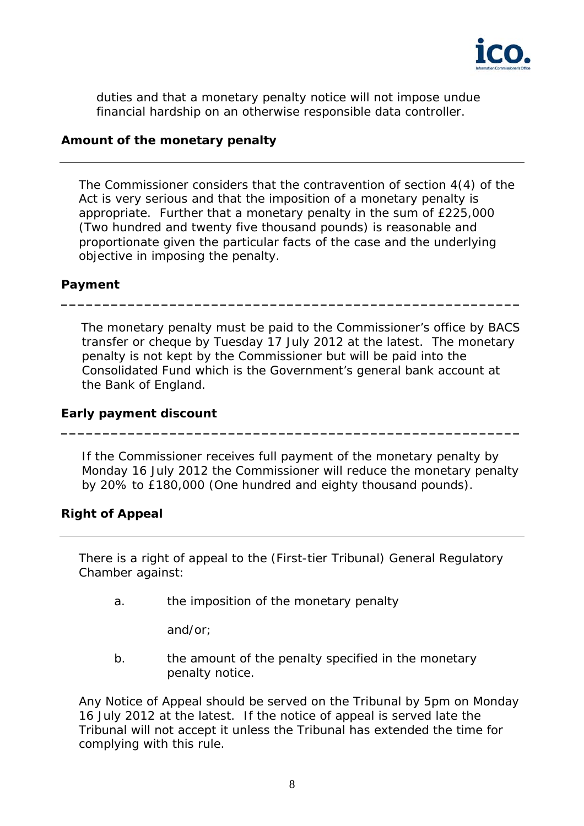

duties and that a monetary penalty notice will not impose undue financial hardship on an otherwise responsible data controller.

## **Amount of the monetary penalty**

The Commissioner considers that the contravention of section 4(4) of the Act is very serious and that the imposition of a monetary penalty is appropriate. Further that a monetary penalty in the sum of £225,000 (Two hundred and twenty five thousand pounds) is reasonable and proportionate given the particular facts of the case and the underlying objective in imposing the penalty.

# **Payment**

The monetary penalty must be paid to the Commissioner's office by BACS transfer or cheque by Tuesday 17 July 2012 at the latest. The monetary penalty is not kept by the Commissioner but will be paid into the Consolidated Fund which is the Government's general bank account at the Bank of England.

**\_\_\_\_\_\_\_\_\_\_\_\_\_\_\_\_\_\_\_\_\_\_\_\_\_\_\_\_\_\_\_\_\_\_\_\_\_\_\_\_\_\_\_\_\_\_\_\_\_\_\_\_\_\_\_** 

#### **Early payment discount**

 If the Commissioner receives full payment of the monetary penalty by Monday 16 July 2012 the Commissioner will reduce the monetary penalty by 20% to £180,000 (One hundred and eighty thousand pounds).

**\_\_\_\_\_\_\_\_\_\_\_\_\_\_\_\_\_\_\_\_\_\_\_\_\_\_\_\_\_\_\_\_\_\_\_\_\_\_\_\_\_\_\_\_\_\_\_\_\_\_\_\_\_\_\_**

# **Right of Appeal**

There is a right of appeal to the (First-tier Tribunal) General Regulatory Chamber against:

a. the imposition of the monetary penalty

and/or;

b. the amount of the penalty specified in the monetary penalty notice.

Any Notice of Appeal should be served on the Tribunal by 5pm on Monday 16 July 2012 at the latest. If the notice of appeal is served late the Tribunal will not accept it unless the Tribunal has extended the time for complying with this rule.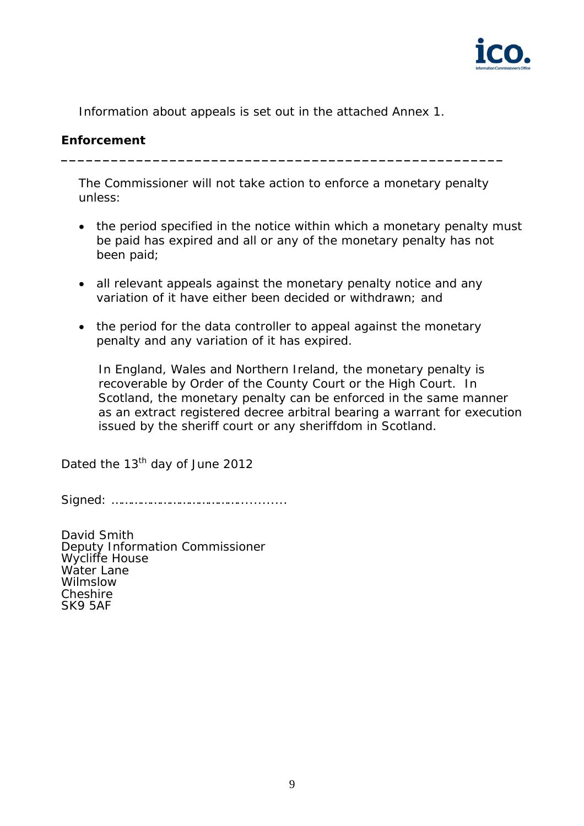

Information about appeals is set out in the attached Annex 1.

## **Enforcement**

The Commissioner will not take action to enforce a monetary penalty unless:

**\_\_\_\_\_\_\_\_\_\_\_\_\_\_\_\_\_\_\_\_\_\_\_\_\_\_\_\_\_\_\_\_\_\_\_\_\_\_\_\_\_\_\_\_\_\_\_\_\_\_\_\_\_** 

- the period specified in the notice within which a monetary penalty must be paid has expired and all or any of the monetary penalty has not been paid;
- all relevant appeals against the monetary penalty notice and any variation of it have either been decided or withdrawn; and
- the period for the data controller to appeal against the monetary penalty and any variation of it has expired.

 In England, Wales and Northern Ireland, the monetary penalty is recoverable by Order of the County Court or the High Court. In Scotland, the monetary penalty can be enforced in the same manner as an extract registered decree arbitral bearing a warrant for execution issued by the sheriff court or any sheriffdom in Scotland.

Dated the 13<sup>th</sup> day of June 2012

Signed: …………………………………............

David Smith Deputy Information Commissioner Wycliffe House Water Lane Wilmslow **Cheshire** SK9 5AF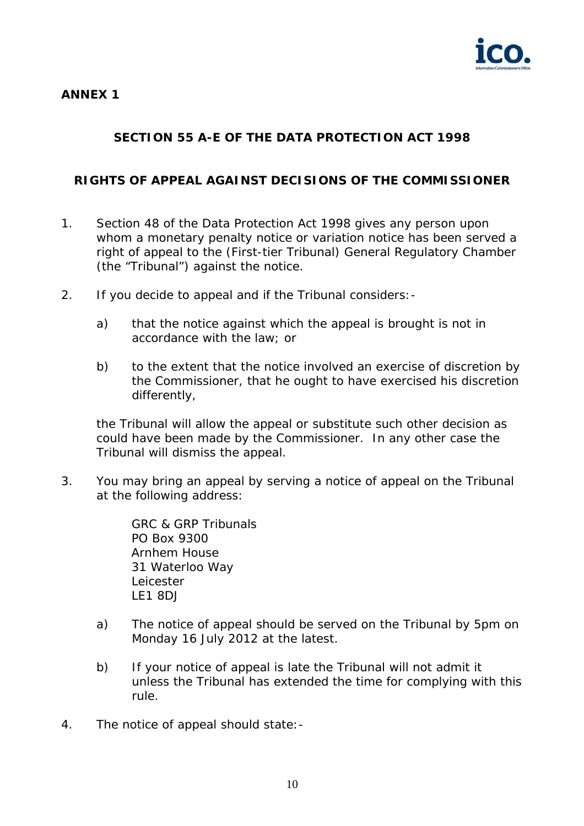

# **ANNEX 1**

# **SECTION 55 A-E OF THE DATA PROTECTION ACT 1998**

## **RIGHTS OF APPEAL AGAINST DECISIONS OF THE COMMISSIONER**

- 1. Section 48 of the Data Protection Act 1998 gives any person upon whom a monetary penalty notice or variation notice has been served a right of appeal to the (First-tier Tribunal) General Regulatory Chamber (the "Tribunal") against the notice.
- 2. If you decide to appeal and if the Tribunal considers:
	- a) that the notice against which the appeal is brought is not in accordance with the law; or
	- b) to the extent that the notice involved an exercise of discretion by the Commissioner, that he ought to have exercised his discretion differently,

the Tribunal will allow the appeal or substitute such other decision as could have been made by the Commissioner. In any other case the Tribunal will dismiss the appeal.

3. You may bring an appeal by serving a notice of appeal on the Tribunal at the following address:

> GRC & GRP Tribunals PO Box 9300 Arnhem House 31 Waterloo Way Leicester LE1 8DJ

- a) The notice of appeal should be served on the Tribunal by 5pm on Monday 16 July 2012 at the latest.
- b) If your notice of appeal is late the Tribunal will not admit it unless the Tribunal has extended the time for complying with this rule.
- 4. The notice of appeal should state:-